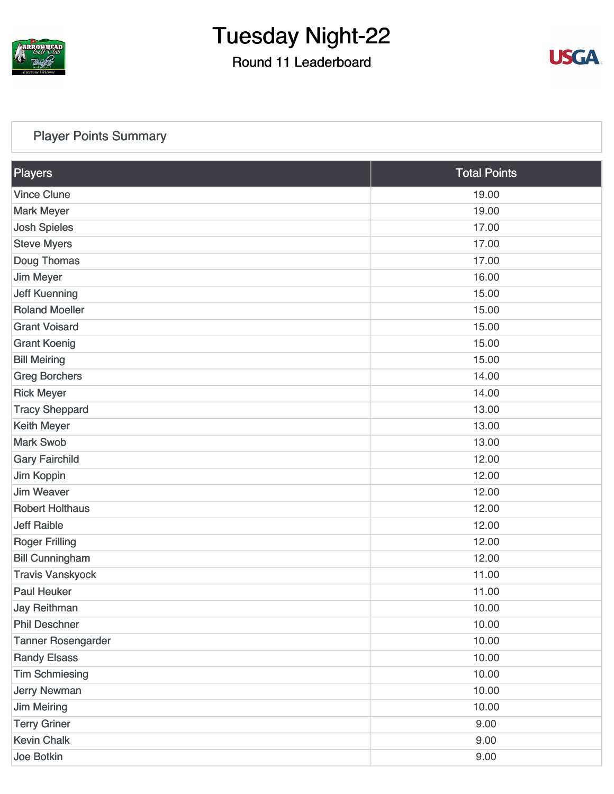

#### Round 11 Leaderboard



#### [Player Points Summary](https://static.golfgenius.com/v2tournaments/total_points?league_id=8105993687684621485&round_id=8105995567471011047)

| Players                   | <b>Total Points</b> |  |
|---------------------------|---------------------|--|
| <b>Vince Clune</b>        | 19.00               |  |
| <b>Mark Meyer</b>         | 19.00               |  |
| <b>Josh Spieles</b>       | 17.00               |  |
| <b>Steve Myers</b>        | 17.00               |  |
| Doug Thomas               | 17.00               |  |
| <b>Jim Meyer</b>          | 16.00               |  |
| <b>Jeff Kuenning</b>      | 15.00               |  |
| <b>Roland Moeller</b>     | 15.00               |  |
| <b>Grant Voisard</b>      | 15.00               |  |
| <b>Grant Koenig</b>       | 15.00               |  |
| <b>Bill Meiring</b>       | 15.00               |  |
| <b>Greg Borchers</b>      | 14.00               |  |
| <b>Rick Meyer</b>         | 14.00               |  |
| <b>Tracy Sheppard</b>     | 13.00               |  |
| Keith Meyer               | 13.00               |  |
| <b>Mark Swob</b>          | 13.00               |  |
| <b>Gary Fairchild</b>     | 12.00               |  |
| Jim Koppin                | 12.00               |  |
| <b>Jim Weaver</b>         | 12.00               |  |
| <b>Robert Holthaus</b>    | 12.00               |  |
| <b>Jeff Raible</b>        | 12.00               |  |
| <b>Roger Frilling</b>     | 12.00               |  |
| <b>Bill Cunningham</b>    | 12.00               |  |
| <b>Travis Vanskyock</b>   | 11.00               |  |
| <b>Paul Heuker</b>        | 11.00               |  |
| <b>Jay Reithman</b>       | 10.00               |  |
| <b>Phil Deschner</b>      | 10.00               |  |
| <b>Tanner Rosengarder</b> | 10.00               |  |
| <b>Randy Elsass</b>       | 10.00               |  |
| <b>Tim Schmiesing</b>     | 10.00               |  |
| <b>Jerry Newman</b>       | 10.00               |  |
| <b>Jim Meiring</b>        | 10.00               |  |
| <b>Terry Griner</b>       | 9.00                |  |
| <b>Kevin Chalk</b>        | 9.00                |  |
| Joe Botkin                | 9.00                |  |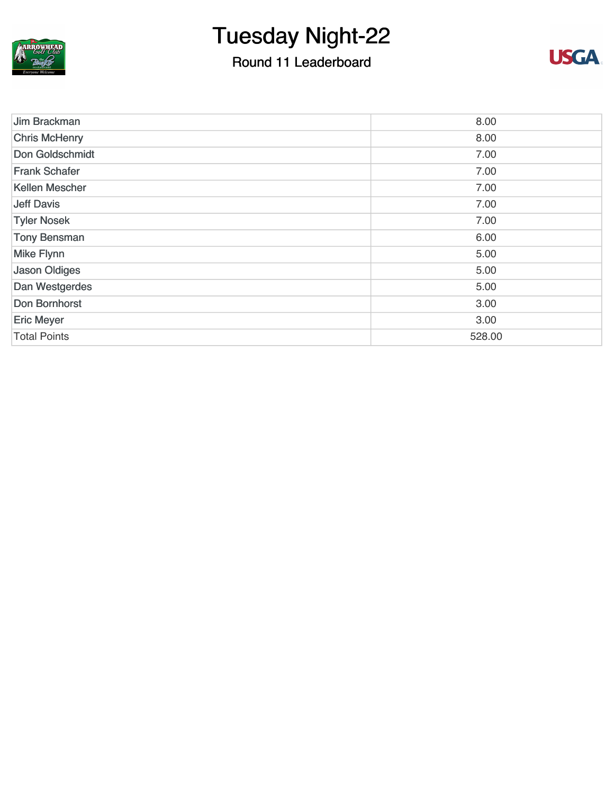

### Round 11 Leaderboard



| Jim Brackman          | 8.00   |
|-----------------------|--------|
| <b>Chris McHenry</b>  | 8.00   |
| Don Goldschmidt       | 7.00   |
| <b>Frank Schafer</b>  | 7.00   |
| <b>Kellen Mescher</b> | 7.00   |
| <b>Jeff Davis</b>     | 7.00   |
| <b>Tyler Nosek</b>    | 7.00   |
| <b>Tony Bensman</b>   | 6.00   |
| Mike Flynn            | 5.00   |
| <b>Jason Oldiges</b>  | 5.00   |
| Dan Westgerdes        | 5.00   |
| Don Bornhorst         | 3.00   |
| <b>Eric Meyer</b>     | 3.00   |
| <b>Total Points</b>   | 528.00 |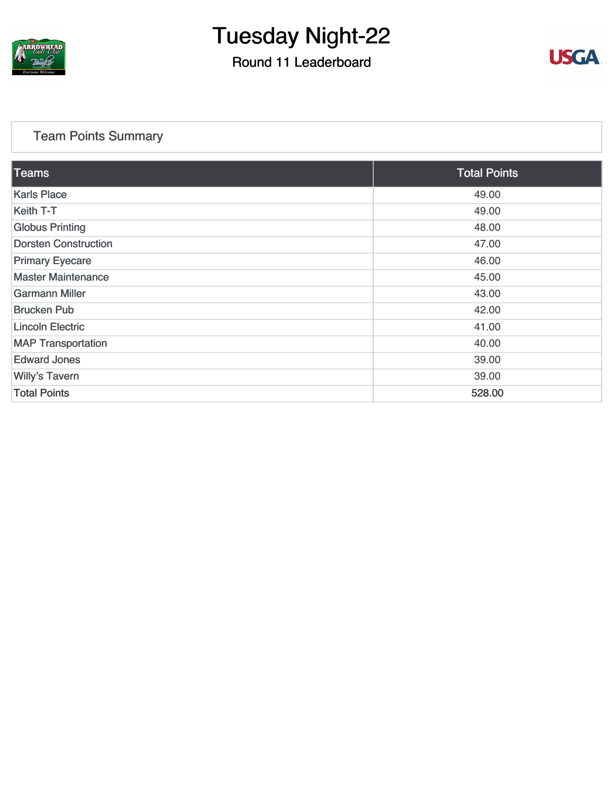

#### Round 11 Leaderboard



#### [Team Points Summary](https://static.golfgenius.com/v2tournaments/team_points?league_id=8105993687684621485&round_id=8105995567471011047)

| <b>Teams</b>                | <b>Total Points</b> |
|-----------------------------|---------------------|
| <b>Karls Place</b>          | 49.00               |
| Keith T-T                   | 49.00               |
| <b>Globus Printing</b>      | 48.00               |
| <b>Dorsten Construction</b> | 47.00               |
| <b>Primary Eyecare</b>      | 46.00               |
| <b>Master Maintenance</b>   | 45.00               |
| <b>Garmann Miller</b>       | 43.00               |
| <b>Brucken Pub</b>          | 42.00               |
| <b>Lincoln Electric</b>     | 41.00               |
| <b>MAP Transportation</b>   | 40.00               |
| <b>Edward Jones</b>         | 39.00               |
| <b>Willy's Tavern</b>       | 39.00               |
| <b>Total Points</b>         | 528.00              |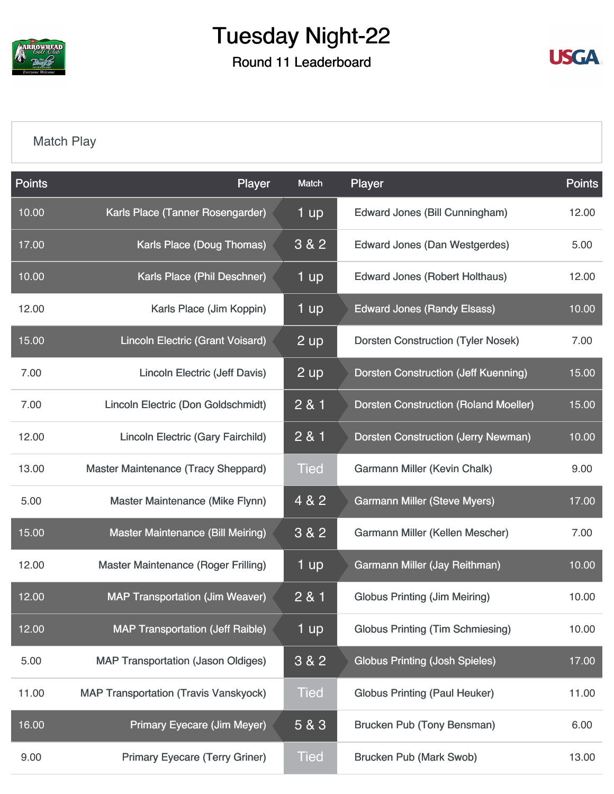

Round 11 Leaderboard



#### [Match Play](https://static.golfgenius.com/v2tournaments/8105996303621694674?called_from=&round_index=11)

| <b>Points</b> | Player                                       | Match       | Player                                       | Points |
|---------------|----------------------------------------------|-------------|----------------------------------------------|--------|
| 10.00         | Karls Place (Tanner Rosengarder)             | 1 up        | <b>Edward Jones (Bill Cunningham)</b>        | 12.00  |
| 17.00         | Karls Place (Doug Thomas)                    | 3&82        | <b>Edward Jones (Dan Westgerdes)</b>         | 5.00   |
| 10.00         | Karls Place (Phil Deschner)                  | 1 up        | <b>Edward Jones (Robert Holthaus)</b>        | 12.00  |
| 12.00         | Karls Place (Jim Koppin)                     | 1 up        | <b>Edward Jones (Randy Elsass)</b>           | 10.00  |
| 15.00         | <b>Lincoln Electric (Grant Voisard)</b>      | $2$ up      | <b>Dorsten Construction (Tyler Nosek)</b>    | 7.00   |
| 7.00          | <b>Lincoln Electric (Jeff Davis)</b>         | 2 up        | <b>Dorsten Construction (Jeff Kuenning)</b>  | 15.00  |
| 7.00          | Lincoln Electric (Don Goldschmidt)           | 2 & 1       | <b>Dorsten Construction (Roland Moeller)</b> | 15.00  |
| 12.00         | <b>Lincoln Electric (Gary Fairchild)</b>     | 2 & 1       | <b>Dorsten Construction (Jerry Newman)</b>   | 10.00  |
| 13.00         | Master Maintenance (Tracy Sheppard)          | <b>Tied</b> | Garmann Miller (Kevin Chalk)                 | 9.00   |
| 5.00          | Master Maintenance (Mike Flynn)              | 4 & 2       | <b>Garmann Miller (Steve Myers)</b>          | 17.00  |
| 15.00         | <b>Master Maintenance (Bill Meiring)</b>     | 3&82        | Garmann Miller (Kellen Mescher)              | 7.00   |
| 12.00         | Master Maintenance (Roger Frilling)          | 1 up        | Garmann Miller (Jay Reithman)                | 10.00  |
| 12.00         | <b>MAP Transportation (Jim Weaver)</b>       | 2 & 1       | <b>Globus Printing (Jim Meiring)</b>         | 10.00  |
| 12.00         | <b>MAP Transportation (Jeff Raible)</b>      | 1 up        | <b>Globus Printing (Tim Schmiesing)</b>      | 10.00  |
| 5.00          | <b>MAP Transportation (Jason Oldiges)</b>    | 3 & 2       | <b>Globus Printing (Josh Spieles)</b>        | 17.00  |
| 11.00         | <b>MAP Transportation (Travis Vanskyock)</b> | <b>Tied</b> | <b>Globus Printing (Paul Heuker)</b>         | 11.00  |
| 16.00         | <b>Primary Eyecare (Jim Meyer)</b>           | 5 & 3       | <b>Brucken Pub (Tony Bensman)</b>            | 6.00   |
| 9.00          | <b>Primary Eyecare (Terry Griner)</b>        | <b>Tied</b> | <b>Brucken Pub (Mark Swob)</b>               | 13.00  |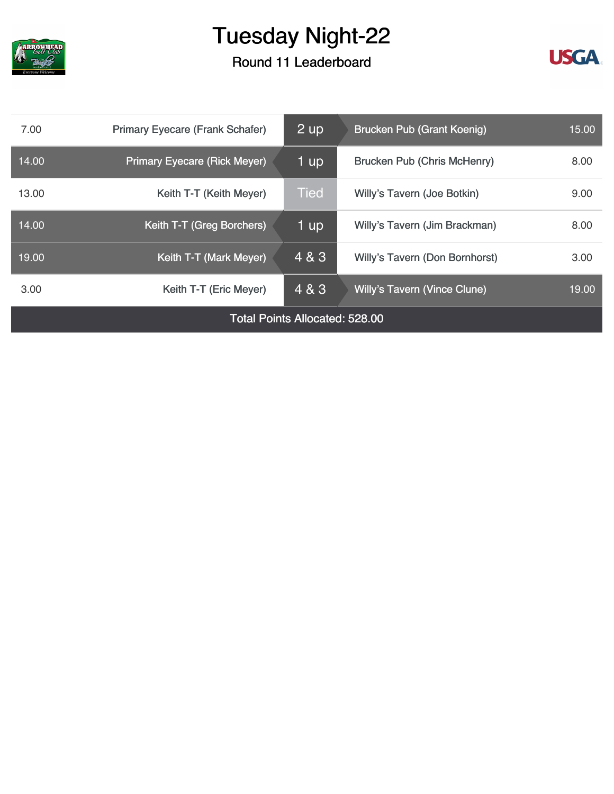

Round 11 Leaderboard



| 7.00                                  | <b>Primary Eyecare (Frank Schafer)</b> | 2 up        | Brucken Pub (Grant Koenig)          | 15.00 |
|---------------------------------------|----------------------------------------|-------------|-------------------------------------|-------|
| 14.00                                 | <b>Primary Eyecare (Rick Meyer)</b>    | 1 up        | <b>Brucken Pub (Chris McHenry)</b>  | 8.00  |
| 13.00                                 | Keith T-T (Keith Meyer)                | <b>Tied</b> | Willy's Tavern (Joe Botkin)         | 9.00  |
| 14.00                                 | Keith T-T (Greg Borchers)              | 1 up        | Willy's Tavern (Jim Brackman)       | 8.00  |
| 19.00                                 | Keith T-T (Mark Meyer)                 | 4 & 3       | Willy's Tavern (Don Bornhorst)      | 3.00  |
| 3.00                                  | Keith T-T (Eric Meyer)                 | 4 & 3       | <b>Willy's Tavern (Vince Clune)</b> | 19.00 |
| <b>Total Points Allocated: 528.00</b> |                                        |             |                                     |       |